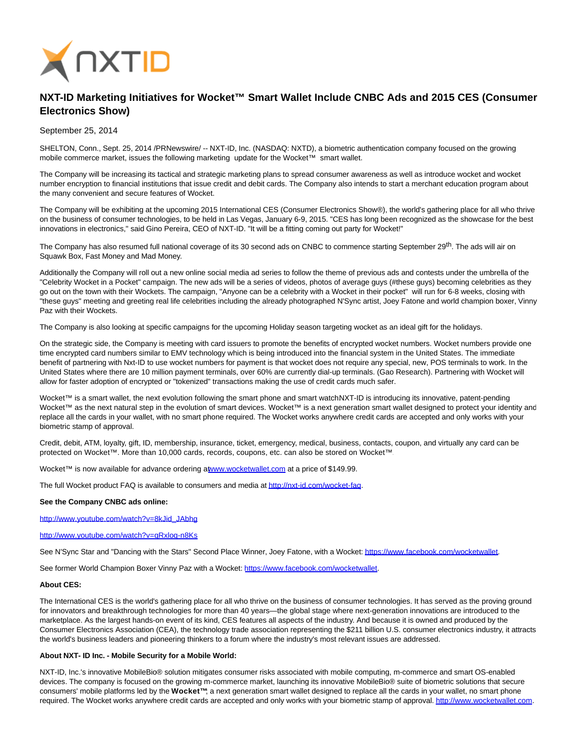

# **NXT-ID Marketing Initiatives for Wocket™ Smart Wallet Include CNBC Ads and 2015 CES (Consumer Electronics Show)**

September 25, 2014

SHELTON, Conn., Sept. 25, 2014 /PRNewswire/ -- NXT-ID, Inc. (NASDAQ: NXTD), a biometric authentication company focused on the growing mobile commerce market, issues the following marketing update for the Wocket™ smart wallet.

The Company will be increasing its tactical and strategic marketing plans to spread consumer awareness as well as introduce wocket and wocket number encryption to financial institutions that issue credit and debit cards. The Company also intends to start a merchant education program about the many convenient and secure features of Wocket.

The Company will be exhibiting at the upcoming 2015 International CES (Consumer Electronics Show®), the world's gathering place for all who thrive on the business of consumer technologies, to be held in Las Vegas, January 6-9, 2015. "CES has long been recognized as the showcase for the best innovations in electronics," said Gino Pereira, CEO of NXT-ID. "It will be a fitting coming out party for Wocket!"

The Company has also resumed full national coverage of its 30 second ads on CNBC to commence starting September 29<sup>th</sup>. The ads will air on Squawk Box, Fast Money and Mad Money.

Additionally the Company will roll out a new online social media ad series to follow the theme of previous ads and contests under the umbrella of the "Celebrity Wocket in a Pocket" campaign. The new ads will be a series of videos, photos of average guys (#these guys) becoming celebrities as they go out on the town with their Wockets. The campaign, "Anyone can be a celebrity with a Wocket in their pocket" will run for 6-8 weeks, closing with "these guys" meeting and greeting real life celebrities including the already photographed N'Sync artist, Joey Fatone and world champion boxer, Vinny Paz with their Wockets.

The Company is also looking at specific campaigns for the upcoming Holiday season targeting wocket as an ideal gift for the holidays.

On the strategic side, the Company is meeting with card issuers to promote the benefits of encrypted wocket numbers. Wocket numbers provide one time encrypted card numbers similar to EMV technology which is being introduced into the financial system in the United States. The immediate benefit of partnering with Nxt-ID to use wocket numbers for payment is that wocket does not require any special, new, POS terminals to work. In the United States where there are 10 million payment terminals, over 60% are currently dial-up terminals. (Gao Research). Partnering with Wocket will allow for faster adoption of encrypted or "tokenized" transactions making the use of credit cards much safer.

Wocket™ is a smart wallet, the next evolution following the smart phone and smart watchNXT-ID is introducing its innovative, patent-pending Wocket™ as the next natural step in the evolution of smart devices. Wocket™ is a next generation smart wallet designed to protect your identity and replace all the cards in your wallet, with no smart phone required. The Wocket works anywhere credit cards are accepted and only works with your biometric stamp of approval.

Credit, debit, ATM, loyalty, gift, ID, membership, insurance, ticket, emergency, medical, business, contacts, coupon, and virtually any card can be protected on Wocket™. More than 10,000 cards, records, coupons, etc. can also be stored on Wocket™.

Wocket™ is now available for advance ordering [at www.wocketwallet.com a](http://www.wocketwallet.com/)t a price of \$149.99.

The full Wocket product FAQ is available to consumers and media a[t http://nxt-id.com/wocket-faq.](http://nxt-id.com/wocket-faq)

### **See the Company CNBC ads online:**

[http://www.youtube.com/watch?v=8kJid\\_JAbhg](http://www.youtube.com/watch?v=8kJid_JAbhg)

<http://www.youtube.com/watch?v=qRxloq-n8Ks>

See N'Sync Star and "Dancing with the Stars" Second Place Winner, Joey Fatone, with a Wocket[: https://www.facebook.com/wocketwallet.](https://www.facebook.com/wocketwallet)

See former World Champion Boxer Vinny Paz with a Wocket: [https://www.facebook.com/wocketwallet.](https://www.facebook.com/wocketwallet)

## **About CES:**

The International CES is the world's gathering place for all who thrive on the business of consumer technologies. It has served as the proving ground for innovators and breakthrough technologies for more than 40 years—the global stage where next-generation innovations are introduced to the marketplace. As the largest hands-on event of its kind, CES features all aspects of the industry. And because it is owned and produced by the Consumer Electronics Association (CEA), the technology trade association representing the \$211 billion U.S. consumer electronics industry, it attracts the world's business leaders and pioneering thinkers to a forum where the industry's most relevant issues are addressed.

#### **About NXT- ID Inc. - Mobile Security for a Mobile World:**

NXT-ID, Inc.'s innovative MobileBio® solution mitigates consumer risks associated with mobile computing, m-commerce and smart OS-enabled devices. The company is focused on the growing m-commerce market, launching its innovative MobileBio® suite of biometric solutions that secure consumers' mobile platforms led by the **Wocket™**; a next generation smart wallet designed to replace all the cards in your wallet, no smart phone required. The Wocket works anywhere credit cards are accepted and only works with your biometric stamp of approval[. http://www.wocketwallet.com.](http://www.wocketwallet.com/)